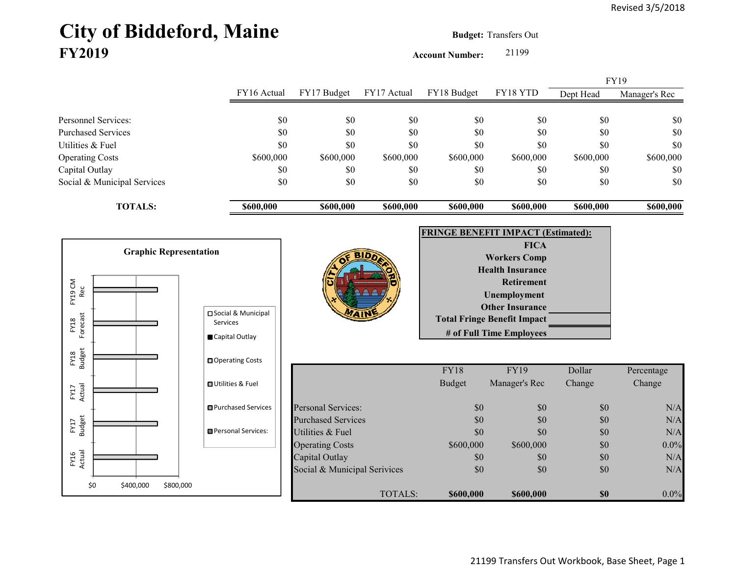## City of Biddeford, Maine **Budget:** Transfers Out **FY2019**

**Account Number:** 21199

|                             |             | FY17 Budget | FY17 Actual | FY18 Budget | FY18 YTD  | FY19      |               |
|-----------------------------|-------------|-------------|-------------|-------------|-----------|-----------|---------------|
|                             | FY16 Actual |             |             |             |           | Dept Head | Manager's Rec |
|                             |             |             |             |             |           |           |               |
| Personnel Services:         | \$0         | \$0         | \$0         | \$0         | \$0       | \$0       | \$0           |
| <b>Purchased Services</b>   | \$0         | \$0         | \$0         | \$0         | \$0       | \$0       | \$0           |
| Utilities & Fuel            | \$0         | \$0         | \$0         | \$0         | \$0       | \$0       | \$0           |
| <b>Operating Costs</b>      | \$600,000   | \$600,000   | \$600,000   | \$600,000   | \$600,000 | \$600,000 | \$600,000     |
| Capital Outlay              | \$0         | \$0         | \$0         | \$0         | \$0       | \$0       | \$0           |
| Social & Municipal Services | \$0         | \$0         | \$0         | \$0         | \$0       | \$0       | \$0           |
| <b>TOTALS:</b>              | \$600,000   | \$600,000   | \$600,000   | \$600,000   | \$600,000 | \$600,000 | \$600,000     |

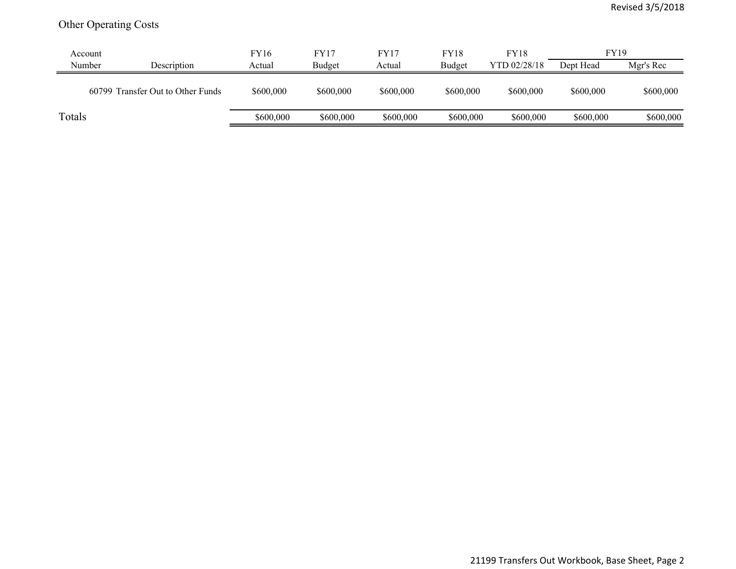## Other Operating Costs

| Account |                                   | FY16      | <b>FY17</b> | <b>FY17</b> | <b>FY18</b> | <b>FY18</b>  | <b>FY19</b> |           |
|---------|-----------------------------------|-----------|-------------|-------------|-------------|--------------|-------------|-----------|
| Number  | Description                       | Actual    | Budget      | Actual      | Budget      | YTD 02/28/18 | Dept Head   | Mgr's Rec |
|         | 60799 Transfer Out to Other Funds | \$600,000 | \$600,000   | \$600,000   | \$600,000   | \$600,000    | \$600,000   | \$600,000 |
| Totals  |                                   | \$600,000 | \$600,000   | \$600,000   | \$600,000   | \$600,000    | \$600,000   | \$600,000 |